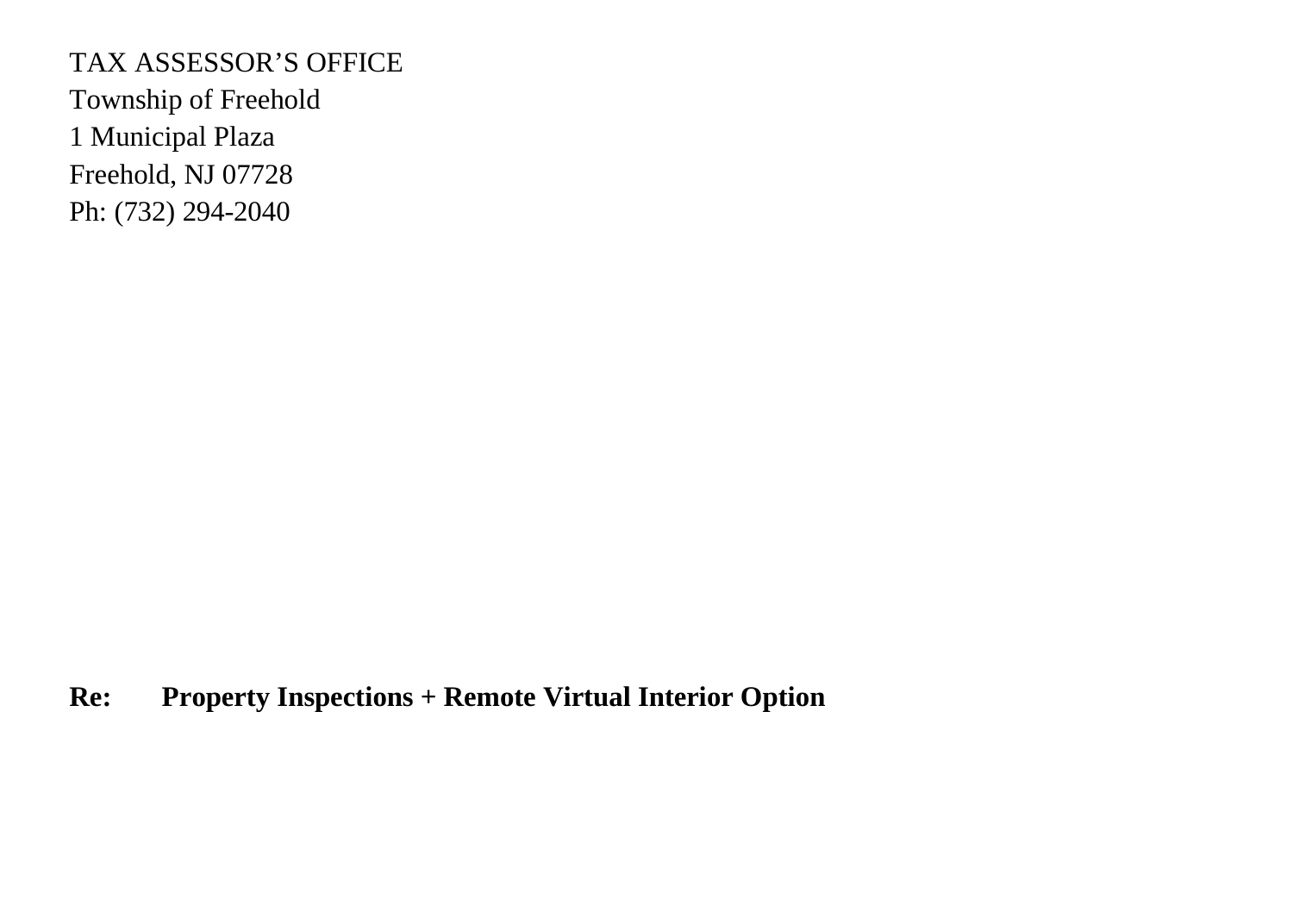## TAX ASSESSOR'S OFFICE

Township of Freehold 1 Municipal Plaza Freehold, NJ 07728 Ph: (732) 294-2040

## **Re: Property Inspections + Remote Virtual Interior Option**